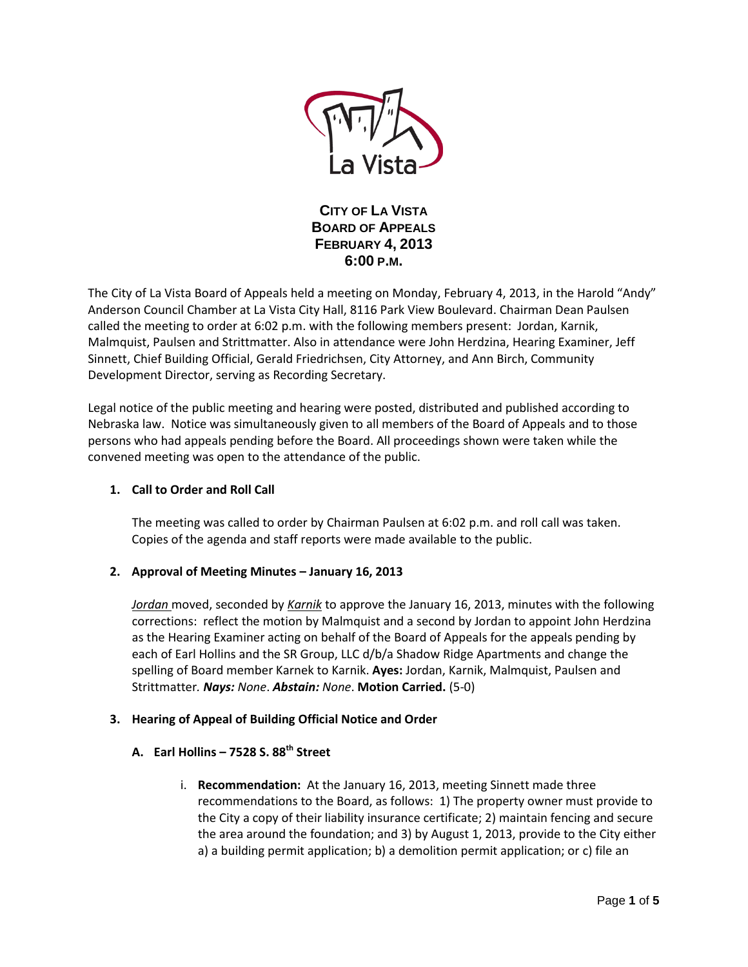

**CITY OF LA VISTA BOARD OF APPEALS FEBRUARY 4, 2013 6:00 P.M.**

The City of La Vista Board of Appeals held a meeting on Monday, February 4, 2013, in the Harold "Andy" Anderson Council Chamber at La Vista City Hall, 8116 Park View Boulevard. Chairman Dean Paulsen called the meeting to order at 6:02 p.m. with the following members present: Jordan, Karnik, Malmquist, Paulsen and Strittmatter. Also in attendance were John Herdzina, Hearing Examiner, Jeff Sinnett, Chief Building Official, Gerald Friedrichsen, City Attorney, and Ann Birch, Community Development Director, serving as Recording Secretary.

Legal notice of the public meeting and hearing were posted, distributed and published according to Nebraska law. Notice was simultaneously given to all members of the Board of Appeals and to those persons who had appeals pending before the Board. All proceedings shown were taken while the convened meeting was open to the attendance of the public.

# **1. Call to Order and Roll Call**

The meeting was called to order by Chairman Paulsen at 6:02 p.m. and roll call was taken. Copies of the agenda and staff reports were made available to the public.

## **2. Approval of Meeting Minutes – January 16, 2013**

*Jordan* moved, seconded by *Karnik* to approve the January 16, 2013, minutes with the following corrections: reflect the motion by Malmquist and a second by Jordan to appoint John Herdzina as the Hearing Examiner acting on behalf of the Board of Appeals for the appeals pending by each of Earl Hollins and the SR Group, LLC d/b/a Shadow Ridge Apartments and change the spelling of Board member Karnek to Karnik. **Ayes:** Jordan, Karnik, Malmquist, Paulsen and Strittmatter*. Nays: None*. *Abstain: None*. **Motion Carried.** (5-0)

## **3. Hearing of Appeal of Building Official Notice and Order**

## **A. Earl Hollins – 7528 S. 88th Street**

i. **Recommendation:** At the January 16, 2013, meeting Sinnett made three recommendations to the Board, as follows: 1) The property owner must provide to the City a copy of their liability insurance certificate; 2) maintain fencing and secure the area around the foundation; and 3) by August 1, 2013, provide to the City either a) a building permit application; b) a demolition permit application; or c) file an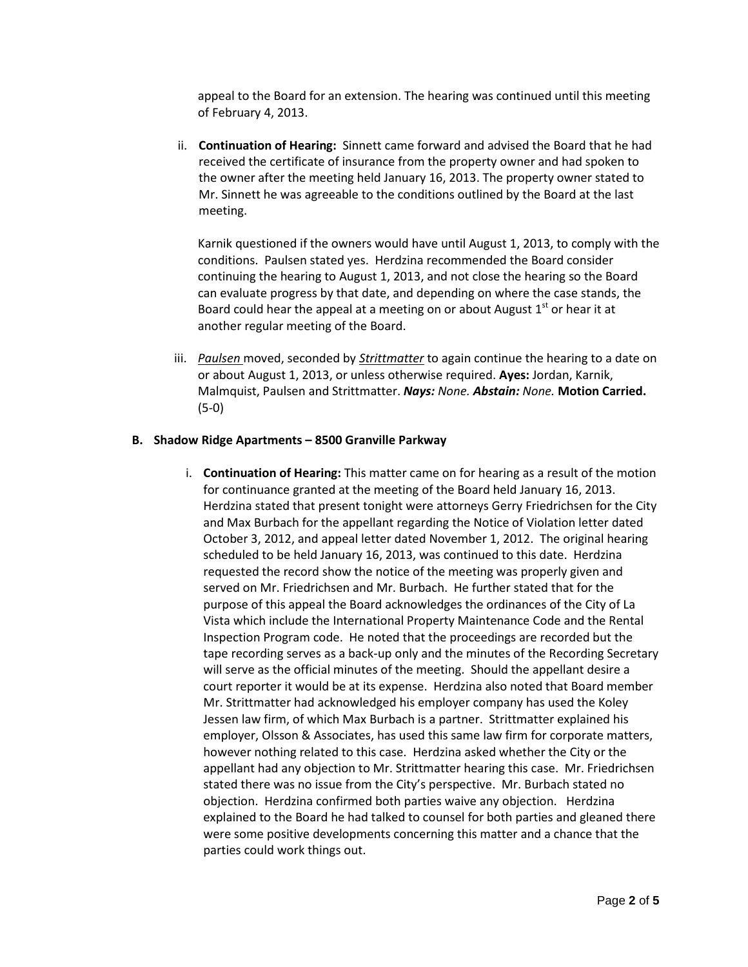appeal to the Board for an extension. The hearing was continued until this meeting of February 4, 2013.

ii. **Continuation of Hearing:** Sinnett came forward and advised the Board that he had received the certificate of insurance from the property owner and had spoken to the owner after the meeting held January 16, 2013. The property owner stated to Mr. Sinnett he was agreeable to the conditions outlined by the Board at the last meeting.

Karnik questioned if the owners would have until August 1, 2013, to comply with the conditions. Paulsen stated yes. Herdzina recommended the Board consider continuing the hearing to August 1, 2013, and not close the hearing so the Board can evaluate progress by that date, and depending on where the case stands, the Board could hear the appeal at a meeting on or about August  $1<sup>st</sup>$  or hear it at another regular meeting of the Board.

iii. *Paulsen* moved, seconded by *Strittmatter* to again continue the hearing to a date on or about August 1, 2013, or unless otherwise required. **Ayes:** Jordan, Karnik, Malmquist, Paulsen and Strittmatter. *Nays: None. Abstain: None.* **Motion Carried.**  (5-0)

#### **B. Shadow Ridge Apartments – 8500 Granville Parkway**

i. **Continuation of Hearing:** This matter came on for hearing as a result of the motion for continuance granted at the meeting of the Board held January 16, 2013. Herdzina stated that present tonight were attorneys Gerry Friedrichsen for the City and Max Burbach for the appellant regarding the Notice of Violation letter dated October 3, 2012, and appeal letter dated November 1, 2012. The original hearing scheduled to be held January 16, 2013, was continued to this date. Herdzina requested the record show the notice of the meeting was properly given and served on Mr. Friedrichsen and Mr. Burbach. He further stated that for the purpose of this appeal the Board acknowledges the ordinances of the City of La Vista which include the International Property Maintenance Code and the Rental Inspection Program code. He noted that the proceedings are recorded but the tape recording serves as a back-up only and the minutes of the Recording Secretary will serve as the official minutes of the meeting. Should the appellant desire a court reporter it would be at its expense. Herdzina also noted that Board member Mr. Strittmatter had acknowledged his employer company has used the Koley Jessen law firm, of which Max Burbach is a partner. Strittmatter explained his employer, Olsson & Associates, has used this same law firm for corporate matters, however nothing related to this case. Herdzina asked whether the City or the appellant had any objection to Mr. Strittmatter hearing this case. Mr. Friedrichsen stated there was no issue from the City's perspective. Mr. Burbach stated no objection. Herdzina confirmed both parties waive any objection. Herdzina explained to the Board he had talked to counsel for both parties and gleaned there were some positive developments concerning this matter and a chance that the parties could work things out.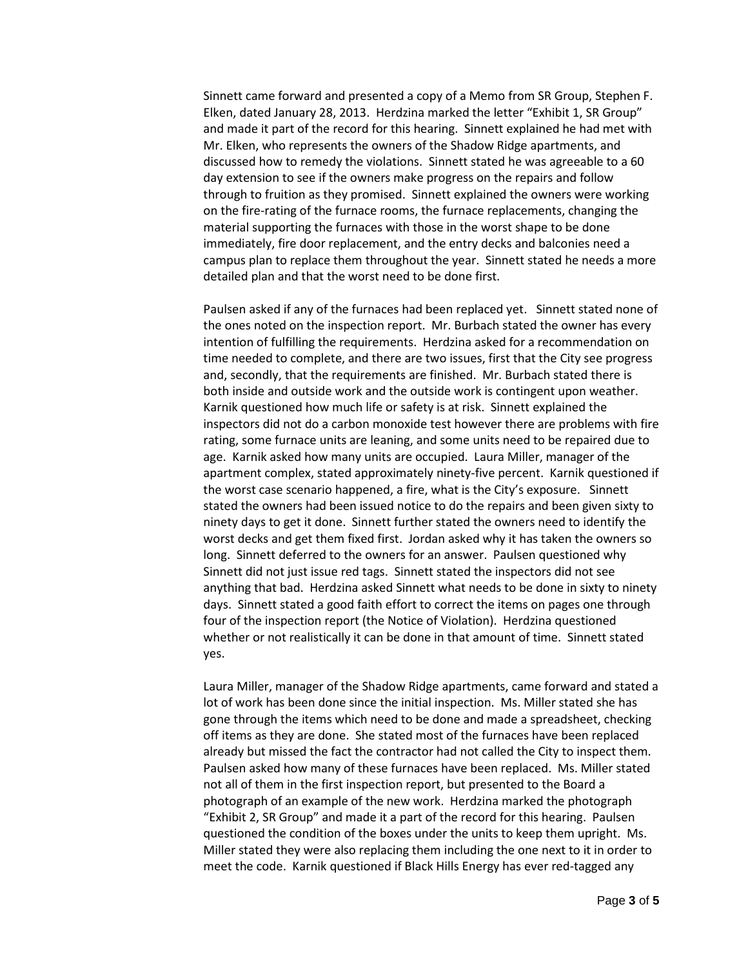Sinnett came forward and presented a copy of a Memo from SR Group, Stephen F. Elken, dated January 28, 2013. Herdzina marked the letter "Exhibit 1, SR Group" and made it part of the record for this hearing. Sinnett explained he had met with Mr. Elken, who represents the owners of the Shadow Ridge apartments, and discussed how to remedy the violations. Sinnett stated he was agreeable to a 60 day extension to see if the owners make progress on the repairs and follow through to fruition as they promised. Sinnett explained the owners were working on the fire-rating of the furnace rooms, the furnace replacements, changing the material supporting the furnaces with those in the worst shape to be done immediately, fire door replacement, and the entry decks and balconies need a campus plan to replace them throughout the year. Sinnett stated he needs a more detailed plan and that the worst need to be done first.

Paulsen asked if any of the furnaces had been replaced yet. Sinnett stated none of the ones noted on the inspection report. Mr. Burbach stated the owner has every intention of fulfilling the requirements. Herdzina asked for a recommendation on time needed to complete, and there are two issues, first that the City see progress and, secondly, that the requirements are finished. Mr. Burbach stated there is both inside and outside work and the outside work is contingent upon weather. Karnik questioned how much life or safety is at risk. Sinnett explained the inspectors did not do a carbon monoxide test however there are problems with fire rating, some furnace units are leaning, and some units need to be repaired due to age. Karnik asked how many units are occupied. Laura Miller, manager of the apartment complex, stated approximately ninety-five percent. Karnik questioned if the worst case scenario happened, a fire, what is the City's exposure. Sinnett stated the owners had been issued notice to do the repairs and been given sixty to ninety days to get it done. Sinnett further stated the owners need to identify the worst decks and get them fixed first. Jordan asked why it has taken the owners so long. Sinnett deferred to the owners for an answer. Paulsen questioned why Sinnett did not just issue red tags. Sinnett stated the inspectors did not see anything that bad. Herdzina asked Sinnett what needs to be done in sixty to ninety days. Sinnett stated a good faith effort to correct the items on pages one through four of the inspection report (the Notice of Violation). Herdzina questioned whether or not realistically it can be done in that amount of time. Sinnett stated yes.

Laura Miller, manager of the Shadow Ridge apartments, came forward and stated a lot of work has been done since the initial inspection. Ms. Miller stated she has gone through the items which need to be done and made a spreadsheet, checking off items as they are done. She stated most of the furnaces have been replaced already but missed the fact the contractor had not called the City to inspect them. Paulsen asked how many of these furnaces have been replaced. Ms. Miller stated not all of them in the first inspection report, but presented to the Board a photograph of an example of the new work. Herdzina marked the photograph "Exhibit 2, SR Group" and made it a part of the record for this hearing. Paulsen questioned the condition of the boxes under the units to keep them upright. Ms. Miller stated they were also replacing them including the one next to it in order to meet the code. Karnik questioned if Black Hills Energy has ever red-tagged any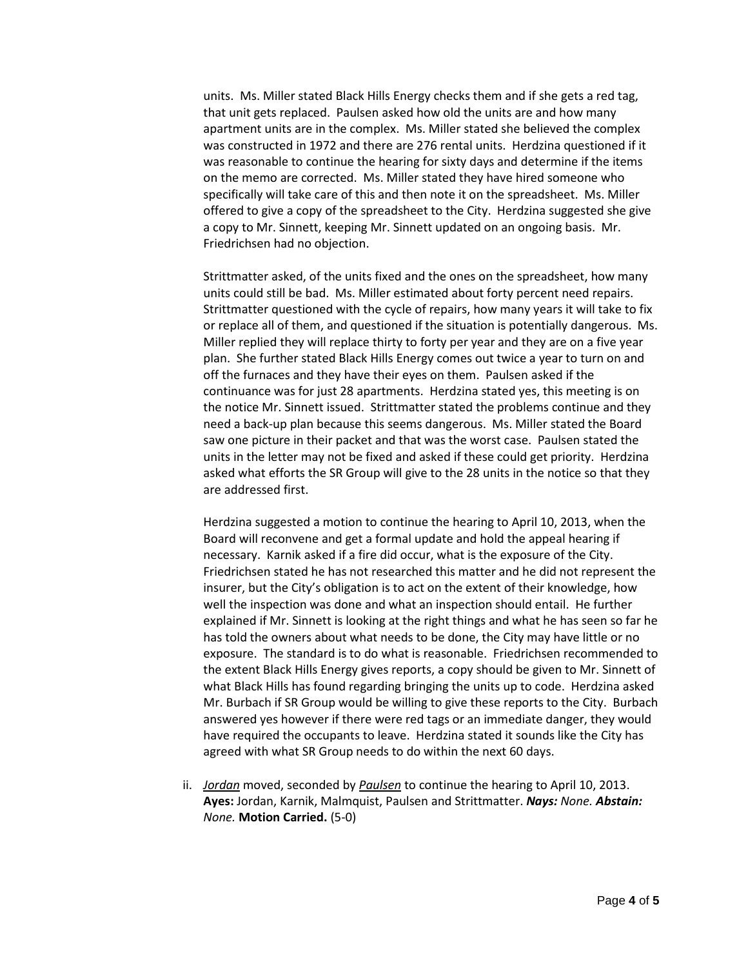units. Ms. Miller stated Black Hills Energy checks them and if she gets a red tag, that unit gets replaced. Paulsen asked how old the units are and how many apartment units are in the complex. Ms. Miller stated she believed the complex was constructed in 1972 and there are 276 rental units. Herdzina questioned if it was reasonable to continue the hearing for sixty days and determine if the items on the memo are corrected. Ms. Miller stated they have hired someone who specifically will take care of this and then note it on the spreadsheet. Ms. Miller offered to give a copy of the spreadsheet to the City. Herdzina suggested she give a copy to Mr. Sinnett, keeping Mr. Sinnett updated on an ongoing basis. Mr. Friedrichsen had no objection.

Strittmatter asked, of the units fixed and the ones on the spreadsheet, how many units could still be bad. Ms. Miller estimated about forty percent need repairs. Strittmatter questioned with the cycle of repairs, how many years it will take to fix or replace all of them, and questioned if the situation is potentially dangerous. Ms. Miller replied they will replace thirty to forty per year and they are on a five year plan. She further stated Black Hills Energy comes out twice a year to turn on and off the furnaces and they have their eyes on them. Paulsen asked if the continuance was for just 28 apartments. Herdzina stated yes, this meeting is on the notice Mr. Sinnett issued. Strittmatter stated the problems continue and they need a back-up plan because this seems dangerous. Ms. Miller stated the Board saw one picture in their packet and that was the worst case. Paulsen stated the units in the letter may not be fixed and asked if these could get priority. Herdzina asked what efforts the SR Group will give to the 28 units in the notice so that they are addressed first.

Herdzina suggested a motion to continue the hearing to April 10, 2013, when the Board will reconvene and get a formal update and hold the appeal hearing if necessary. Karnik asked if a fire did occur, what is the exposure of the City. Friedrichsen stated he has not researched this matter and he did not represent the insurer, but the City's obligation is to act on the extent of their knowledge, how well the inspection was done and what an inspection should entail. He further explained if Mr. Sinnett is looking at the right things and what he has seen so far he has told the owners about what needs to be done, the City may have little or no exposure. The standard is to do what is reasonable. Friedrichsen recommended to the extent Black Hills Energy gives reports, a copy should be given to Mr. Sinnett of what Black Hills has found regarding bringing the units up to code. Herdzina asked Mr. Burbach if SR Group would be willing to give these reports to the City. Burbach answered yes however if there were red tags or an immediate danger, they would have required the occupants to leave. Herdzina stated it sounds like the City has agreed with what SR Group needs to do within the next 60 days.

ii. *Jordan* moved, seconded by *Paulsen* to continue the hearing to April 10, 2013. **Ayes:** Jordan, Karnik, Malmquist, Paulsen and Strittmatter. *Nays: None. Abstain: None.* **Motion Carried.** (5-0)